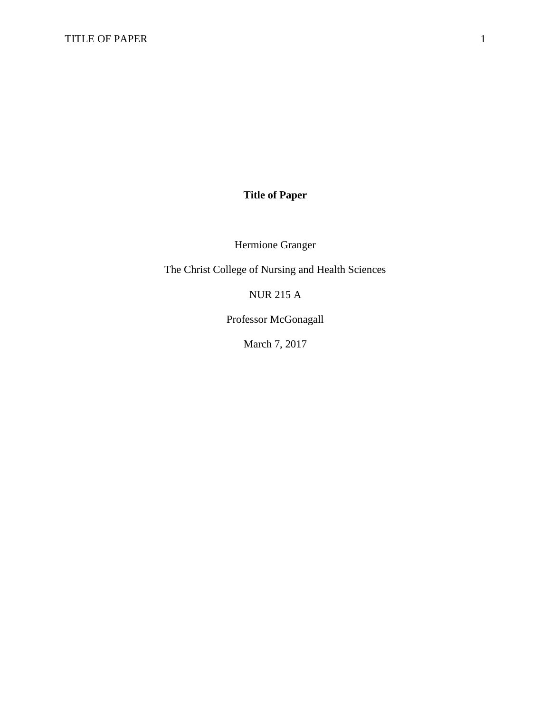## **Title of Paper**

Hermione Granger

The Christ College of Nursing and Health Sciences

NUR 215 A

Professor McGonagall

March 7, 2017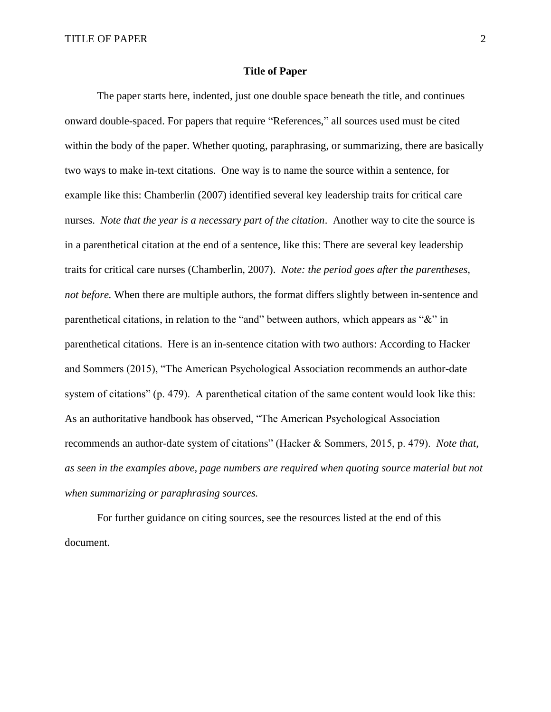## **Title of Paper**

The paper starts here, indented, just one double space beneath the title, and continues onward double-spaced. For papers that require "References," all sources used must be cited within the body of the paper. Whether quoting, paraphrasing, or summarizing, there are basically two ways to make in-text citations. One way is to name the source within a sentence, for example like this: Chamberlin (2007) identified several key leadership traits for critical care nurses. *Note that the year is a necessary part of the citation*. Another way to cite the source is in a parenthetical citation at the end of a sentence, like this: There are several key leadership traits for critical care nurses (Chamberlin, 2007). *Note: the period goes after the parentheses, not before.* When there are multiple authors, the format differs slightly between in-sentence and parenthetical citations, in relation to the "and" between authors, which appears as "&" in parenthetical citations. Here is an in-sentence citation with two authors: According to Hacker and Sommers (2015), "The American Psychological Association recommends an author-date system of citations" (p. 479). A parenthetical citation of the same content would look like this: As an authoritative handbook has observed, "The American Psychological Association recommends an author-date system of citations" (Hacker & Sommers, 2015, p. 479). *Note that, as seen in the examples above, page numbers are required when quoting source material but not when summarizing or paraphrasing sources.*

For further guidance on citing sources, see the resources listed at the end of this document.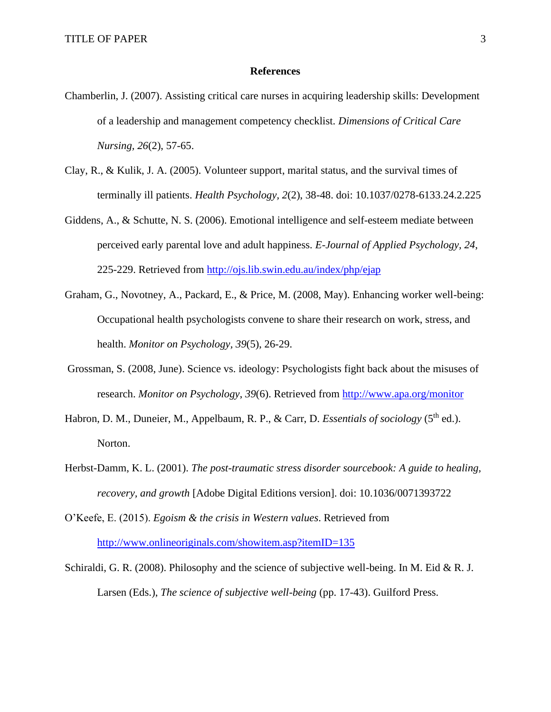## **References**

- Chamberlin, J. (2007). Assisting critical care nurses in acquiring leadership skills: Development of a leadership and management competency checklist. *Dimensions of Critical Care Nursing, 26*(2), 57-65.
- Clay, R., & Kulik, J. A. (2005). Volunteer support, marital status, and the survival times of terminally ill patients. *Health Psychology, 2*(2), 38-48. doi: 10.1037/0278-6133.24.2.225
- Giddens, A., & Schutte, N. S. (2006). Emotional intelligence and self-esteem mediate between perceived early parental love and adult happiness. *E-Journal of Applied Psychology, 24*, 225-229. Retrieved from<http://ojs.lib.swin.edu.au/index/php/ejap>
- Graham, G., Novotney, A., Packard, E., & Price, M. (2008, May). Enhancing worker well-being: Occupational health psychologists convene to share their research on work, stress, and health. *Monitor on Psychology, 39*(5), 26-29.
- Grossman, S. (2008, June). Science vs. ideology: Psychologists fight back about the misuses of research. *Monitor on Psychology*, *39*(6). Retrieved from<http://www.apa.org/monitor>
- Habron, D. M., Duneier, M., Appelbaum, R. P., & Carr, D. *Essentials of sociology* (5<sup>th</sup> ed.). Norton.
- Herbst-Damm, K. L. (2001). *The post-traumatic stress disorder sourcebook: A guide to healing, recovery, and growth* [Adobe Digital Editions version]. doi: 10.1036/0071393722
- O'Keefe, E. (2015). *Egoism & the crisis in Western values*. Retrieved from <http://www.onlineoriginals.com/showitem.asp?itemID=135>
- Schiraldi, G. R. (2008). Philosophy and the science of subjective well-being. In M. Eid & R. J. Larsen (Eds.), *The science of subjective well-being* (pp. 17-43). Guilford Press.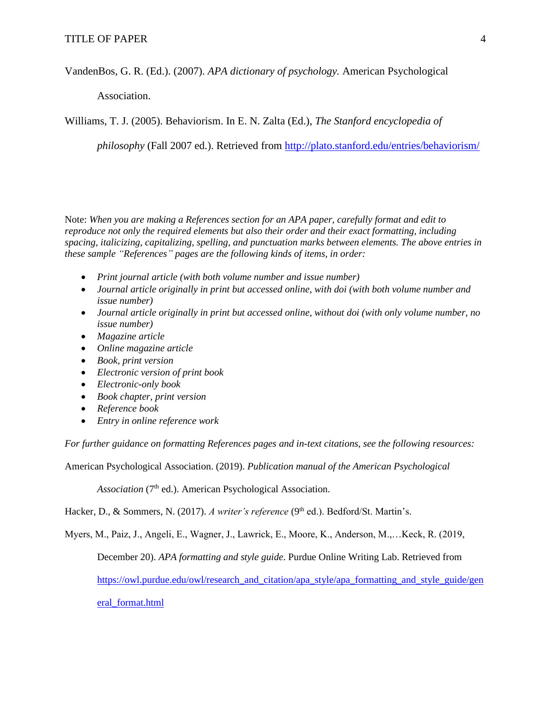VandenBos, G. R. (Ed.). (2007). *APA dictionary of psychology.* American Psychological

Association.

Williams, T. J. (2005). Behaviorism. In E. N. Zalta (Ed.), *The Stanford encyclopedia of* 

*philosophy* (Fall 2007 ed.). Retrieved from<http://plato.stanford.edu/entries/behaviorism/>

Note: *When you are making a References section for an APA paper, carefully format and edit to reproduce not only the required elements but also their order and their exact formatting, including spacing, italicizing, capitalizing, spelling, and punctuation marks between elements. The above entries in these sample "References" pages are the following kinds of items, in order:*

- *Print journal article (with both volume number and issue number)*
- *Journal article originally in print but accessed online, with doi (with both volume number and issue number)*
- *Journal article originally in print but accessed online, without doi (with only volume number, no issue number)*
- *Magazine article*
- *Online magazine article*
- *Book, print version*
- *Electronic version of print book*
- *Electronic-only book*
- *Book chapter, print version*
- *Reference book*
- *Entry in online reference work*

*For further guidance on formatting References pages and in-text citations, see the following resources:*

American Psychological Association. (2019). *Publication manual of the American Psychological* 

Association (7<sup>th</sup> ed.). American Psychological Association.

Hacker, D., & Sommers, N. (2017). *A writer's reference* (9<sup>th</sup> ed.). Bedford/St. Martin's.

Myers, M., Paiz, J., Angeli, E., Wagner, J., Lawrick, E., Moore, K., Anderson, M.,…Keck, R. (2019,

December 20). *APA formatting and style guide*. Purdue Online Writing Lab. Retrieved from

[https://owl.purdue.edu/owl/research\\_and\\_citation/apa\\_style/apa\\_formatting\\_and\\_style\\_guide/gen](https://owl.purdue.edu/owl/research_and_citation/apa_style/apa_formatting_and_style_guide/general_format.html)

[eral\\_format.html](https://owl.purdue.edu/owl/research_and_citation/apa_style/apa_formatting_and_style_guide/general_format.html)